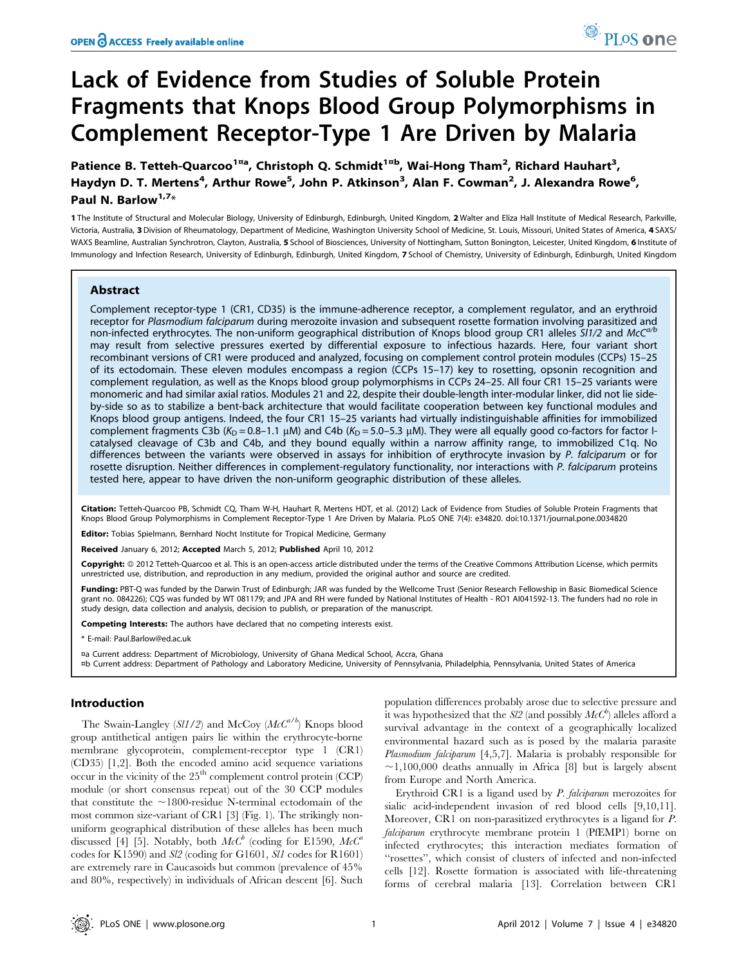# Lack of Evidence from Studies of Soluble Protein Fragments that Knops Blood Group Polymorphisms in Complement Receptor-Type 1 Are Driven by Malaria

Patience B. Tetteh-Quarcoo<sup>1¤a</sup>, Christoph Q. Schmidt<sup>1¤b</sup>, Wai-Hong Tham<sup>2</sup>, Richard Hauhart<sup>3</sup>, Haydyn D. T. Mertens<sup>4</sup>, Arthur Rowe<sup>5</sup>, John P. Atkinson<sup>3</sup>, Alan F. Cowman<sup>2</sup>, J. Alexandra Rowe<sup>6</sup>, Paul N. Barlow<sup>1,7\*</sup>

1 The Institute of Structural and Molecular Biology, University of Edinburgh, Edinburgh, United Kingdom, 2 Walter and Eliza Hall Institute of Medical Research, Parkville, Victoria, Australia, 3 Division of Rheumatology, Department of Medicine, Washington University School of Medicine, St. Louis, Missouri, United States of America, 4 SAXS/ WAXS Beamline, Australian Synchrotron, Clayton, Australia, 5 School of Biosciences, University of Nottingham, Sutton Bonington, Leicester, United Kingdom, 6 Institute of Immunology and Infection Research, University of Edinburgh, Edinburgh, United Kingdom, 7 School of Chemistry, University of Edinburgh, Edinburgh, United Kingdom

## Abstract

Complement receptor-type 1 (CR1, CD35) is the immune-adherence receptor, a complement regulator, and an erythroid receptor for Plasmodium falciparum during merozoite invasion and subsequent rosette formation involving parasitized and non-infected erythrocytes. The non-uniform geographical distribution of Knops blood group CR1 alleles SI1/2 and McC<sup>a/b</sup> may result from selective pressures exerted by differential exposure to infectious hazards. Here, four variant short recombinant versions of CR1 were produced and analyzed, focusing on complement control protein modules (CCPs) 15–25 of its ectodomain. These eleven modules encompass a region (CCPs 15–17) key to rosetting, opsonin recognition and complement regulation, as well as the Knops blood group polymorphisms in CCPs 24–25. All four CR1 15–25 variants were monomeric and had similar axial ratios. Modules 21 and 22, despite their double-length inter-modular linker, did not lie sideby-side so as to stabilize a bent-back architecture that would facilitate cooperation between key functional modules and Knops blood group antigens. Indeed, the four CR1 15–25 variants had virtually indistinguishable affinities for immobilized complement fragments C3b (K<sub>D</sub> = 0.8–1.1 µM) and C4b (K<sub>D</sub> = 5.0–5.3 µM). They were all equally good co-factors for factor Icatalysed cleavage of C3b and C4b, and they bound equally within a narrow affinity range, to immobilized C1q. No differences between the variants were observed in assays for inhibition of erythrocyte invasion by P. falciparum or for rosette disruption. Neither differences in complement-regulatory functionality, nor interactions with P. falciparum proteins tested here, appear to have driven the non-uniform geographic distribution of these alleles.

Citation: Tetteh-Quarcoo PB, Schmidt CQ, Tham W-H, Hauhart R, Mertens HDT, et al. (2012) Lack of Evidence from Studies of Soluble Protein Fragments that Knops Blood Group Polymorphisms in Complement Receptor-Type 1 Are Driven by Malaria. PLoS ONE 7(4): e34820. doi:10.1371/journal.pone.0034820

Editor: Tobias Spielmann, Bernhard Nocht Institute for Tropical Medicine, Germany

Received January 6, 2012; Accepted March 5, 2012; Published April 10, 2012

Copyright: © 2012 Tetteh-Quarcoo et al. This is an open-access article distributed under the terms of the Creative Commons Attribution License, which permits unrestricted use, distribution, and reproduction in any medium, provided the original author and source are credited.

Funding: PBT-Q was funded by the Darwin Trust of Edinburgh; JAR was funded by the Wellcome Trust (Senior Research Fellowship in Basic Biomedical Science grant no. 084226); CQS was funded by WT 081179; and JPA and RH were funded by National Institutes of Health - RO1 AI041592-13. The funders had no role in study design, data collection and analysis, decision to publish, or preparation of the manuscript.

Competing Interests: The authors have declared that no competing interests exist.

\* E-mail: Paul.Barlow@ed.ac.uk

¤a Current address: Department of Microbiology, University of Ghana Medical School, Accra, Ghana

¤b Current address: Department of Pathology and Laboratory Medicine, University of Pennsylvania, Philadelphia, Pennsylvania, United States of America

# Introduction

The Swain-Langley  $(Sl1/2)$  and McCoy  $(McC^{a/b})$  Knops blood group antithetical antigen pairs lie within the erythrocyte-borne membrane glycoprotein, complement-receptor type 1 (CR1) (CD35) [1,2]. Both the encoded amino acid sequence variations occur in the vicinity of the 25<sup>th</sup> complement control protein (CCP) module (or short consensus repeat) out of the 30 CCP modules that constitute the  $\sim$ 1800-residue N-terminal ectodomain of the most common size-variant of CR1 [3] (Fig. 1). The strikingly nonuniform geographical distribution of these alleles has been much discussed [4] [5]. Notably, both  $McC^b$  (coding for E1590,  $McC^a$ codes for K1590) and Sl2 (coding for G1601, Sl1 codes for R1601) are extremely rare in Caucasoids but common (prevalence of 45% and 80%, respectively) in individuals of African descent [6]. Such population differences probably arose due to selective pressure and it was hypothesized that the  $\mathit{SI2}$  (and possibly  $\mathit{McC}^b$ ) alleles afford a survival advantage in the context of a geographically localized environmental hazard such as is posed by the malaria parasite Plasmodium falciparum [4,5,7]. Malaria is probably responsible for  $\sim$ 1,100,000 deaths annually in Africa [8] but is largely absent from Europe and North America.

Erythroid CR1 is a ligand used by P. falciparum merozoites for sialic acid-independent invasion of red blood cells [9,10,11]. Moreover, CR1 on non-parasitized erythrocytes is a ligand for P. falciparum erythrocyte membrane protein 1 (PfEMP1) borne on infected erythrocytes; this interaction mediates formation of ''rosettes'', which consist of clusters of infected and non-infected cells [12]. Rosette formation is associated with life-threatening forms of cerebral malaria [13]. Correlation between CR1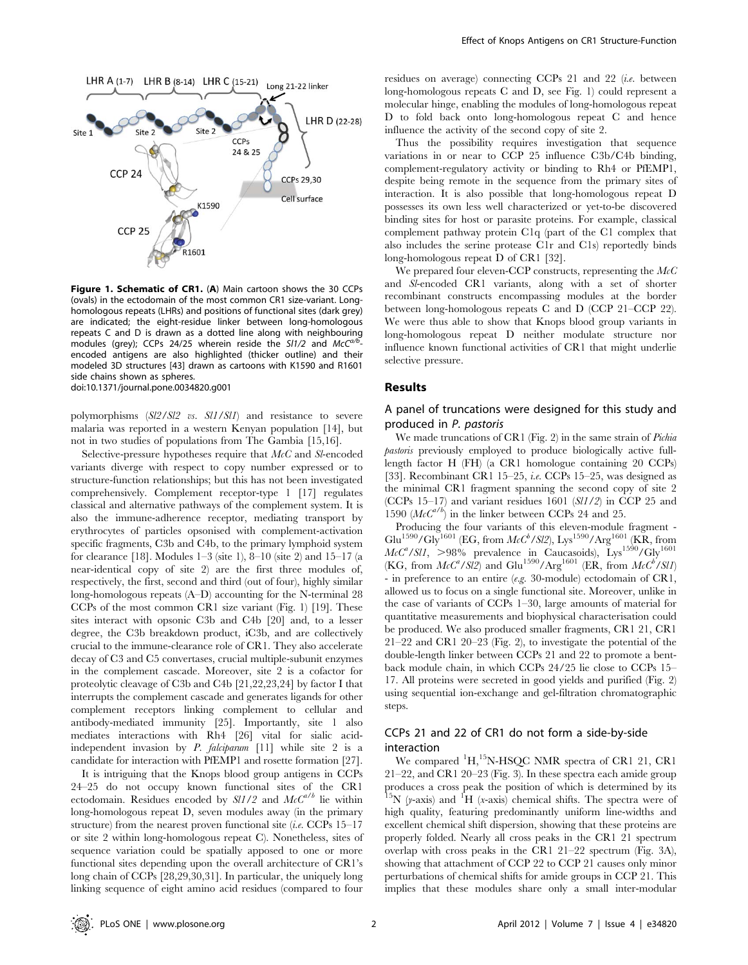

Figure 1. Schematic of CR1. (A) Main cartoon shows the 30 CCPs (ovals) in the ectodomain of the most common CR1 size-variant. Longhomologous repeats (LHRs) and positions of functional sites (dark grey) are indicated; the eight-residue linker between long-homologous repeats C and D is drawn as a dotted line along with neighbouring modules (grey); CCPs 24/25 wherein reside the SI1/2 and  $McC^{a/b}$ encoded antigens are also highlighted (thicker outline) and their modeled 3D structures [43] drawn as cartoons with K1590 and R1601 side chains shown as spheres. doi:10.1371/journal.pone.0034820.g001

polymorphisms (Sl2/Sl2 vs. Sl1/Sl1) and resistance to severe malaria was reported in a western Kenyan population [14], but not in two studies of populations from The Gambia [15,16].

Selective-pressure hypotheses require that McC and Sl-encoded variants diverge with respect to copy number expressed or to structure-function relationships; but this has not been investigated comprehensively. Complement receptor-type 1 [17] regulates classical and alternative pathways of the complement system. It is also the immune-adherence receptor, mediating transport by erythrocytes of particles opsonised with complement-activation specific fragments, C3b and C4b, to the primary lymphoid system for clearance [18]. Modules  $1-3$  (site 1),  $8-10$  (site 2) and  $15-17$  (a near-identical copy of site 2) are the first three modules of, respectively, the first, second and third (out of four), highly similar long-homologous repeats (A–D) accounting for the N-terminal 28 CCPs of the most common CR1 size variant (Fig. 1) [19]. These sites interact with opsonic C3b and C4b [20] and, to a lesser degree, the C3b breakdown product, iC3b, and are collectively crucial to the immune-clearance role of CR1. They also accelerate decay of C3 and C5 convertases, crucial multiple-subunit enzymes in the complement cascade. Moreover, site 2 is a cofactor for proteolytic cleavage of C3b and C4b [21,22,23,24] by factor I that interrupts the complement cascade and generates ligands for other complement receptors linking complement to cellular and antibody-mediated immunity [25]. Importantly, site 1 also mediates interactions with Rh4 [26] vital for sialic acidindependent invasion by P. falciparum [11] while site 2 is a candidate for interaction with PfEMP1 and rosette formation [27].

It is intriguing that the Knops blood group antigens in CCPs 24–25 do not occupy known functional sites of the CR1 ectodomain. Residues encoded by  $\frac{SI}{2}$  and  $McC^{a/b}$  lie within long-homologous repeat D, seven modules away (in the primary structure) from the nearest proven functional site (*i.e.* CCPs  $15-17$ or site 2 within long-homologous repeat C). Nonetheless, sites of sequence variation could be spatially apposed to one or more functional sites depending upon the overall architecture of CR1's long chain of CCPs [28,29,30,31]. In particular, the uniquely long linking sequence of eight amino acid residues (compared to four residues on average) connecting CCPs 21 and 22 (i.e. between long-homologous repeats C and D, see Fig. 1) could represent a molecular hinge, enabling the modules of long-homologous repeat D to fold back onto long-homologous repeat C and hence influence the activity of the second copy of site 2.

Thus the possibility requires investigation that sequence variations in or near to CCP 25 influence C3b/C4b binding, complement-regulatory activity or binding to Rh4 or PfEMP1, despite being remote in the sequence from the primary sites of interaction. It is also possible that long-homologous repeat D possesses its own less well characterized or yet-to-be discovered binding sites for host or parasite proteins. For example, classical complement pathway protein C1q (part of the C1 complex that also includes the serine protease C1r and C1s) reportedly binds long-homologous repeat D of CR1 [32].

We prepared four eleven-CCP constructs, representing the  $McC$ and Sl-encoded CR1 variants, along with a set of shorter recombinant constructs encompassing modules at the border between long-homologous repeats C and D (CCP 21–CCP 22). We were thus able to show that Knops blood group variants in long-homologous repeat D neither modulate structure nor influence known functional activities of CR1 that might underlie selective pressure.

## Results

# A panel of truncations were designed for this study and produced in P. pastoris

We made truncations of CR1 (Fig. 2) in the same strain of *Pichia* pastoris previously employed to produce biologically active fulllength factor H (FH) (a CR1 homologue containing 20 CCPs) [33]. Recombinant CR1 15–25, *i.e.* CCPs 15–25, was designed as the minimal CR1 fragment spanning the second copy of site 2 (CCPs 15–17) and variant residues 1601 ( $SU(1/2)$ ) in CCP 25 and 1590 ( $McC^{a/b}$ ) in the linker between CCPs 24 and 25.

Producing the four variants of this eleven-module fragment -  $Glu^{1590}/Gly^{1601}$  (EG, from  $McC^b/Sl2$ ), Lys<sup>1590</sup>/Arg<sup>1601</sup> (KR, from  $McC<sup>a</sup>/S11$ , >98% prevalence in Caucasoids), Lys<sup>1590</sup>/Gly<sup>1601</sup> (KG, from  $McC^a/Sl2$ ) and Glu<sup>1590</sup>/Arg<sup>1601</sup> (ER, from  $McC^b/Sl1$ ) - in preference to an entire (e.g. 30-module) ectodomain of CR1, allowed us to focus on a single functional site. Moreover, unlike in the case of variants of CCPs 1–30, large amounts of material for quantitative measurements and biophysical characterisation could be produced. We also produced smaller fragments, CR1 21, CR1 21–22 and CR1 20–23 (Fig. 2), to investigate the potential of the double-length linker between CCPs 21 and 22 to promote a bentback module chain, in which CCPs 24/25 lie close to CCPs 15– 17. All proteins were secreted in good yields and purified (Fig. 2) using sequential ion-exchange and gel-filtration chromatographic steps.

# CCPs 21 and 22 of CR1 do not form a side-by-side interaction

We compared <sup>1</sup>H,<sup>15</sup>N-HSQC NMR spectra of CR1 21, CR1 21–22, and CR1 20–23 (Fig. 3). In these spectra each amide group produces a cross peak the position of which is determined by its  $^{15}N$  (y-axis) and  $^{1}H$  (x-axis) chemical shifts. The spectra were of high quality, featuring predominantly uniform line-widths and excellent chemical shift dispersion, showing that these proteins are properly folded. Nearly all cross peaks in the CR1 21 spectrum overlap with cross peaks in the CR1 21–22 spectrum (Fig. 3A), showing that attachment of CCP 22 to CCP 21 causes only minor perturbations of chemical shifts for amide groups in CCP 21. This implies that these modules share only a small inter-modular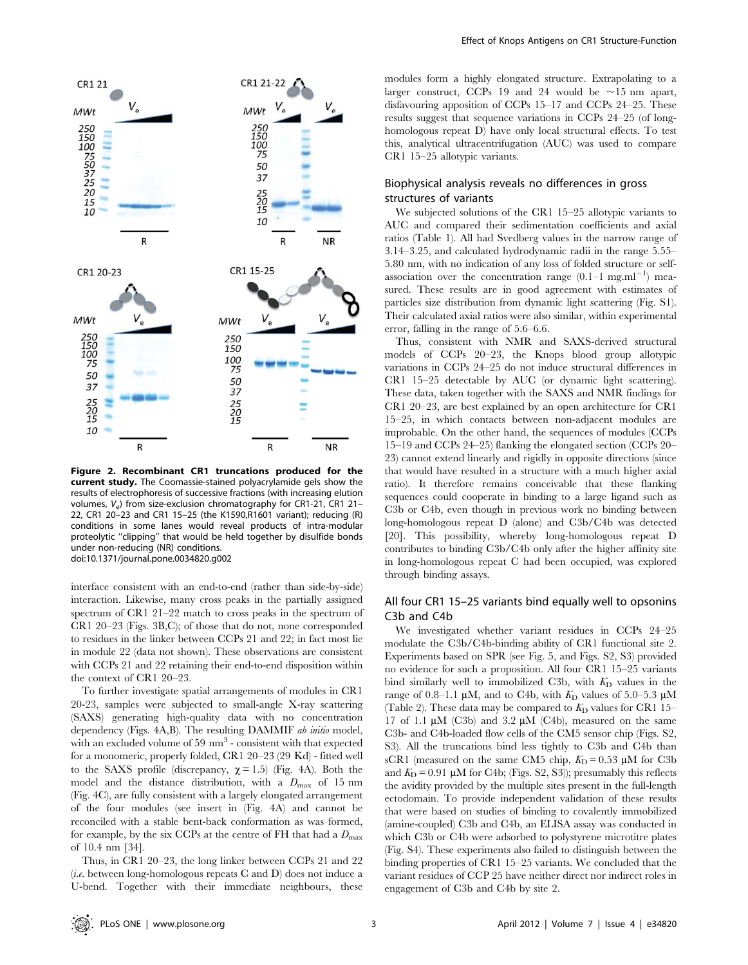

Figure 2. Recombinant CR1 truncations produced for the current study. The Coomassie-stained polyacrylamide gels show the results of electrophoresis of successive fractions (with increasing elution volumes, V<sub>e</sub>) from size-exclusion chromatography for CR1-21, CR1 21-22, CR1 20–23 and CR1 15–25 (the K1590,R1601 variant); reducing (R) conditions in some lanes would reveal products of intra-modular proteolytic ''clipping'' that would be held together by disulfide bonds under non-reducing (NR) conditions. doi:10.1371/journal.pone.0034820.g002

interface consistent with an end-to-end (rather than side-by-side) interaction. Likewise, many cross peaks in the partially assigned spectrum of CR1 21–22 match to cross peaks in the spectrum of CR1 20–23 (Figs. 3B,C); of those that do not, none corresponded to residues in the linker between CCPs 21 and 22; in fact most lie in module 22 (data not shown). These observations are consistent with CCPs 21 and 22 retaining their end-to-end disposition within the context of CR1 20–23.

To further investigate spatial arrangements of modules in CR1 20-23, samples were subjected to small-angle X-ray scattering (SAXS) generating high-quality data with no concentration dependency (Figs. 4A,B). The resulting DAMMIF *ab initio* model, with an excluded volume of  $59 \text{ nm}^3$  - consistent with that expected for a monomeric, properly folded, CR1 20–23 (29 Kd) - fitted well to the SAXS profile (discrepancy,  $\chi = 1.5$ ) (Fig. 4A). Both the model and the distance distribution, with a  $D_{\text{max}}$  of 15 nm (Fig. 4C), are fully consistent with a largely elongated arrangement of the four modules (see insert in (Fig. 4A) and cannot be reconciled with a stable bent-back conformation as was formed, for example, by the six CCPs at the centre of FH that had a  $D_{\text{max}}$ of 10.4 nm [34].

Thus, in CR1 20–23, the long linker between CCPs 21 and 22 (*i.e.* between long-homologous repeats C and D) does not induce a U-bend. Together with their immediate neighbours, these modules form a highly elongated structure. Extrapolating to a larger construct, CCPs 19 and 24 would be  $\sim$ 15 nm apart, disfavouring apposition of CCPs 15–17 and CCPs 24–25. These results suggest that sequence variations in CCPs 24–25 (of longhomologous repeat D) have only local structural effects. To test this, analytical ultracentrifugation (AUC) was used to compare CR1 15–25 allotypic variants.

# Biophysical analysis reveals no differences in gross structures of variants

We subjected solutions of the CR1 15–25 allotypic variants to AUC and compared their sedimentation coefficients and axial ratios (Table 1). All had Svedberg values in the narrow range of 3.14–3.25, and calculated hydrodynamic radii in the range 5.55– 5.80 nm, with no indication of any loss of folded structure or selfassociation over the concentration range  $(0.1-1$  mg.ml<sup>-1</sup>) measured. These results are in good agreement with estimates of particles size distribution from dynamic light scattering (Fig. S1). Their calculated axial ratios were also similar, within experimental error, falling in the range of 5.6–6.6.

Thus, consistent with NMR and SAXS-derived structural models of CCPs 20–23, the Knops blood group allotypic variations in CCPs 24–25 do not induce structural differences in CR1 15–25 detectable by AUC (or dynamic light scattering). These data, taken together with the SAXS and NMR findings for CR1 20–23, are best explained by an open architecture for CR1 15–25, in which contacts between non-adjacent modules are improbable. On the other hand, the sequences of modules (CCPs 15–19 and CCPs 24–25) flanking the elongated section (CCPs 20– 23) cannot extend linearly and rigidly in opposite directions (since that would have resulted in a structure with a much higher axial ratio). It therefore remains conceivable that these flanking sequences could cooperate in binding to a large ligand such as C3b or C4b, even though in previous work no binding between long-homologous repeat D (alone) and C3b/C4b was detected [20]. This possibility, whereby long-homologous repeat D contributes to binding C3b/C4b only after the higher affinity site in long-homologous repeat C had been occupied, was explored through binding assays.

# All four CR1 15–25 variants bind equally well to opsonins C3b and C4b

We investigated whether variant residues in CCPs 24–25 modulate the C3b/C4b-binding ability of CR1 functional site 2. Experiments based on SPR (see Fig. 5, and Figs. S2, S3) provided no evidence for such a proposition. All four CR1 15–25 variants bind similarly well to immobilized C3b, with  $K_D$  values in the range of 0.8–1.1  $\mu$ M, and to C4b, with  $K<sub>D</sub>$  values of 5.0–5.3  $\mu$ M (Table 2). These data may be compared to  $K<sub>D</sub>$  values for CR1 15– 17 of 1.1  $\mu$ M (C3b) and 3.2  $\mu$ M (C4b), measured on the same C3b- and C4b-loaded flow cells of the CM5 sensor chip (Figs. S2, S3). All the truncations bind less tightly to C3b and C4b than sCR1 (measured on the same CM5 chip,  $K_D = 0.53 \mu M$  for C3b and  $K<sub>D</sub> = 0.91 \mu M$  for C4b; (Figs. S2, S3)); presumably this reflects the avidity provided by the multiple sites present in the full-length ectodomain. To provide independent validation of these results that were based on studies of binding to covalently immobilized (amine-coupled) C3b and C4b, an ELISA assay was conducted in which C3b or C4b were adsorbed to polystyrene microtitre plates (Fig. S4). These experiments also failed to distinguish between the binding properties of CR1 15–25 variants. We concluded that the variant residues of CCP 25 have neither direct nor indirect roles in engagement of C3b and C4b by site 2.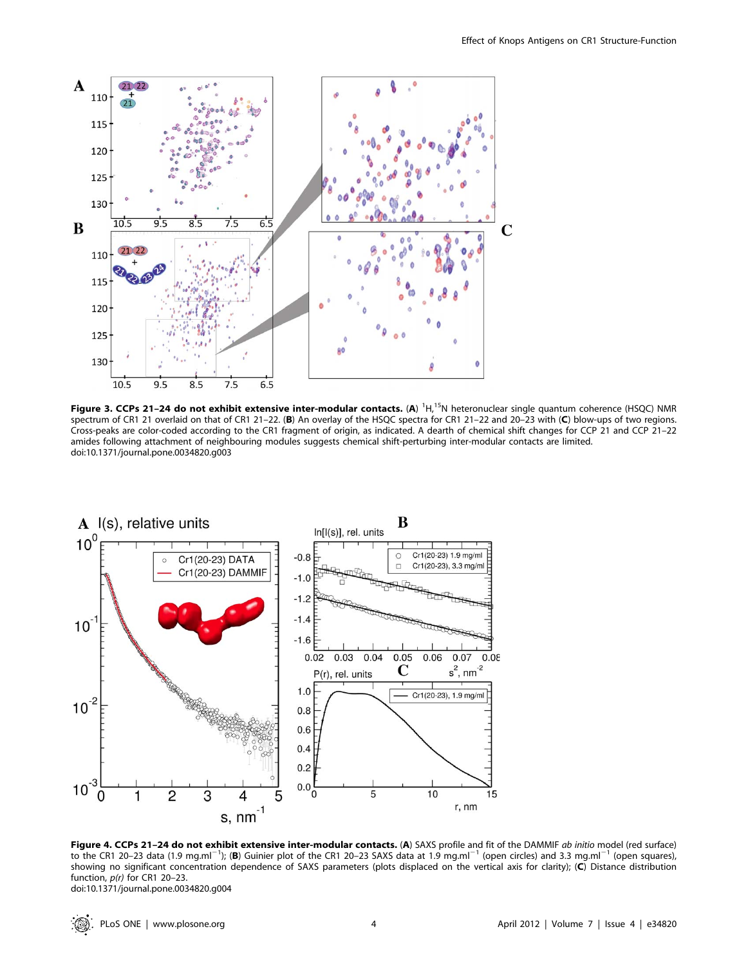

Figure 3. CCPs 21-24 do not exhibit extensive inter-modular contacts. (A) <sup>1</sup>H,<sup>15</sup>N heteronuclear single quantum coherence (HSQC) NMR spectrum of CR1 21 overlaid on that of CR1 21–22. (B) An overlay of the HSQC spectra for CR1 21–22 and 20–23 with (C) blow-ups of two regions. Cross-peaks are color-coded according to the CR1 fragment of origin, as indicated. A dearth of chemical shift changes for CCP 21 and CCP 21–22 amides following attachment of neighbouring modules suggests chemical shift-perturbing inter-modular contacts are limited. doi:10.1371/journal.pone.0034820.g003



Figure 4. CCPs 21-24 do not exhibit extensive inter-modular contacts. (A) SAXS profile and fit of the DAMMIF ab initio model (red surface) to the CR1 20–23 data (1.9 mg.ml<sup>-1</sup>); (B) Guinier plot of the CR1 20–23 SAXS data at 1.9 mg.ml<sup>-1</sup> (open circles) and 3.3 mg.ml<sup>-1</sup> (open squares), showing no significant concentration dependence of SAXS parameters (plots displaced on the vertical axis for clarity); (C) Distance distribution function,  $p(r)$  for CR1 20-23. doi:10.1371/journal.pone.0034820.g004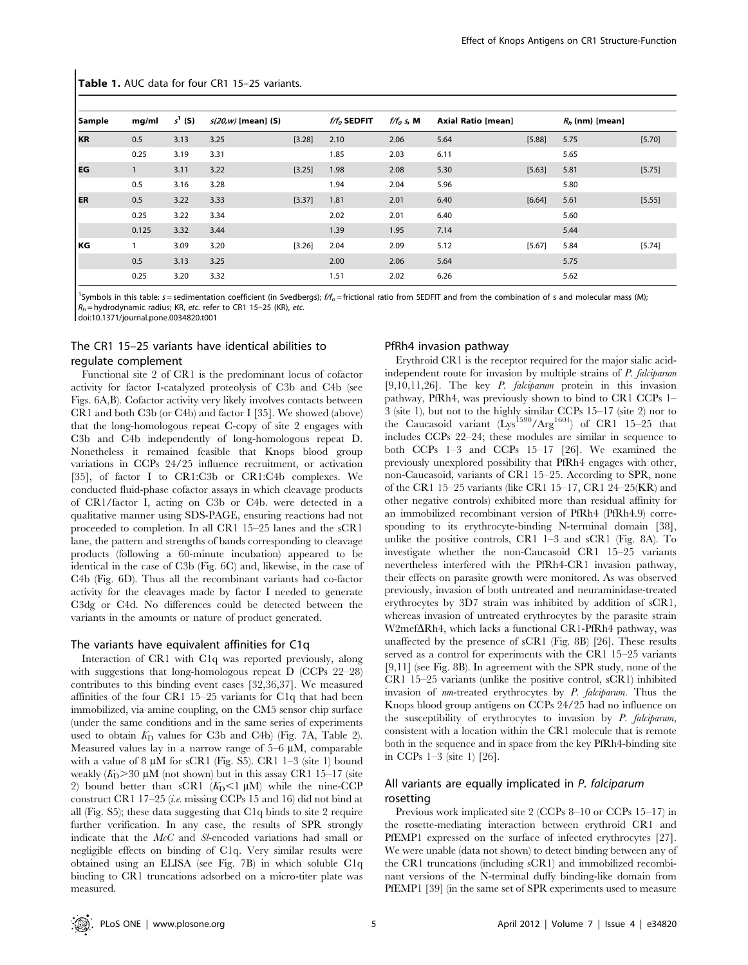| <b>Sample</b> | mg/ml        | $s^1$ (S) | $s(20,w)$ [mean] (S) |        | $f/f_0$ SEDFIT | $f/f_0$ s, M | Axial Ratio [mean] |        | $R_h$ (nm) [mean] |        |
|---------------|--------------|-----------|----------------------|--------|----------------|--------------|--------------------|--------|-------------------|--------|
| <b>KR</b>     | 0.5          | 3.13      | 3.25                 | [3.28] | 2.10           | 2.06         | 5.64               | [5.88] | 5.75              | [5.70] |
|               | 0.25         | 3.19      | 3.31                 |        | 1.85           | 2.03         | 6.11               |        | 5.65              |        |
| l EG          | $\mathbf{1}$ | 3.11      | 3.22                 | [3.25] | 1.98           | 2.08         | 5.30               | [5.63] | 5.81              | [5.75] |
|               | 0.5          | 3.16      | 3.28                 |        | 1.94           | 2.04         | 5.96               |        | 5.80              |        |
| <b>ER</b>     | 0.5          | 3.22      | 3.33                 | [3.37] | 1.81           | 2.01         | 6.40               | [6.64] | 5.61              | [5.55] |
|               | 0.25         | 3.22      | 3.34                 |        | 2.02           | 2.01         | 6.40               |        | 5.60              |        |
|               | 0.125        | 3.32      | 3.44                 |        | 1.39           | 1.95         | 7.14               |        | 5.44              |        |
| l KG.         |              | 3.09      | 3.20                 | [3.26] | 2.04           | 2.09         | 5.12               | [5.67] | 5.84              | [5.74] |
|               | 0.5          | 3.13      | 3.25                 |        | 2.00           | 2.06         | 5.64               |        | 5.75              |        |
|               | 0.25         | 3.20      | 3.32                 |        | 1.51           | 2.02         | 6.26               |        | 5.62              |        |

Table 1. AUC data for four CR1 15-25 variants.

<sup>1</sup>Symbols in this table: s = sedimentation coefficient (in Svedbergs); f/f<sub>o</sub> = frictional ratio from SEDFIT and from the combination of s and molecular mass (M)  $R_h$  = hydrodynamic radius; KR, etc. refer to CR1 15-25 (KR), etc.

doi:10.1371/journal.pone.0034820.t001

## The CR1 15–25 variants have identical abilities to regulate complement

Functional site 2 of CR1 is the predominant locus of cofactor activity for factor I-catalyzed proteolysis of C3b and C4b (see Figs. 6A,B). Cofactor activity very likely involves contacts between CR1 and both C3b (or C4b) and factor I [35]. We showed (above) that the long-homologous repeat C-copy of site 2 engages with C3b and C4b independently of long-homologous repeat D. Nonetheless it remained feasible that Knops blood group variations in CCPs 24/25 influence recruitment, or activation [35], of factor I to CR1:C3b or CR1:C4b complexes. We conducted fluid-phase cofactor assays in which cleavage products of CR1/factor I, acting on C3b or C4b. were detected in a qualitative manner using SDS-PAGE, ensuring reactions had not proceeded to completion. In all CR1 15–25 lanes and the sCR1 lane, the pattern and strengths of bands corresponding to cleavage products (following a 60-minute incubation) appeared to be identical in the case of C3b (Fig. 6C) and, likewise, in the case of C4b (Fig. 6D). Thus all the recombinant variants had co-factor activity for the cleavages made by factor I needed to generate C3dg or C4d. No differences could be detected between the variants in the amounts or nature of product generated.

#### The variants have equivalent affinities for C1q

Interaction of CR1 with C1q was reported previously, along with suggestions that long-homologous repeat D (CCPs 22–28) contributes to this binding event cases [32,36,37]. We measured affinities of the four CR1 15–25 variants for C1q that had been immobilized, via amine coupling, on the CM5 sensor chip surface (under the same conditions and in the same series of experiments used to obtain  $K<sub>D</sub>$  values for C3b and C4b) (Fig. 7A, Table 2). Measured values lay in a narrow range of  $5-6 \mu M$ , comparable with a value of 8  $\mu$ M for sCR1 (Fig. S5). CR1 1–3 (site 1) bound weakly  $(K_D > 30 \mu M$  (not shown) but in this assay CR1 15–17 (site 2) bound better than sCR1  $(K_D<1 \mu M)$  while the nine-CCP construct CR1 17–25 (*i.e.* missing CCPs 15 and 16) did not bind at all (Fig. S5); these data suggesting that C1q binds to site 2 require further verification. In any case, the results of SPR strongly indicate that the McC and Sl-encoded variations had small or negligible effects on binding of C1q. Very similar results were obtained using an ELISA (see Fig. 7B) in which soluble C1q binding to CR1 truncations adsorbed on a micro-titer plate was measured.

#### PfRh4 invasion pathway

Erythroid CR1 is the receptor required for the major sialic acidindependent route for invasion by multiple strains of P. falciparum [9,10,11,26]. The key P. falciparum protein in this invasion pathway, PfRh4, was previously shown to bind to CR1 CCPs 1– 3 (site 1), but not to the highly similar CCPs 15–17 (site 2) nor to the Caucasoid variant  $(Lys<sup>1590</sup>/Arg<sup>1601</sup>)$  of CR1 15–25 that includes CCPs 22–24; these modules are similar in sequence to both CCPs 1–3 and CCPs 15–17 [26]. We examined the previously unexplored possibility that PfRh4 engages with other, non-Caucasoid, variants of CR1 15–25. According to SPR, none of the CR1 15–25 variants (like CR1 15–17, CR1 24–25(KR) and other negative controls) exhibited more than residual affinity for an immobilized recombinant version of PfRh4 (PfRh4.9) corresponding to its erythrocyte-binding N-terminal domain [38], unlike the positive controls, CR1 1–3 and sCR1 (Fig. 8A). To investigate whether the non-Caucasoid CR1 15–25 variants nevertheless interfered with the PfRh4-CR1 invasion pathway, their effects on parasite growth were monitored. As was observed previously, invasion of both untreated and neuraminidase-treated erythrocytes by 3D7 strain was inhibited by addition of sCR1, whereas invasion of untreated erythrocytes by the parasite strain W2mef $\Delta$ Rh4, which lacks a functional CR1-PfRh4 pathway, was unaffected by the presence of sCR1 (Fig. 8B) [26]. These results served as a control for experiments with the CR1 15–25 variants [9,11] (see Fig. 8B). In agreement with the SPR study, none of the CR1 15–25 variants (unlike the positive control, sCR1) inhibited invasion of nm-treated erythrocytes by P. falciparum. Thus the Knops blood group antigens on CCPs 24/25 had no influence on the susceptibility of erythrocytes to invasion by P. falciparum, consistent with a location within the CR1 molecule that is remote both in the sequence and in space from the key PfRh4-binding site in CCPs 1–3 (site 1) [26].

# All variants are equally implicated in P. falciparum rosetting

Previous work implicated site 2 (CCPs 8–10 or CCPs 15–17) in the rosette-mediating interaction between erythroid CR1 and PfEMP1 expressed on the surface of infected erythrocytes [27]. We were unable (data not shown) to detect binding between any of the CR1 truncations (including sCR1) and immobilized recombinant versions of the N-terminal duffy binding-like domain from PfEMP1 [39] (in the same set of SPR experiments used to measure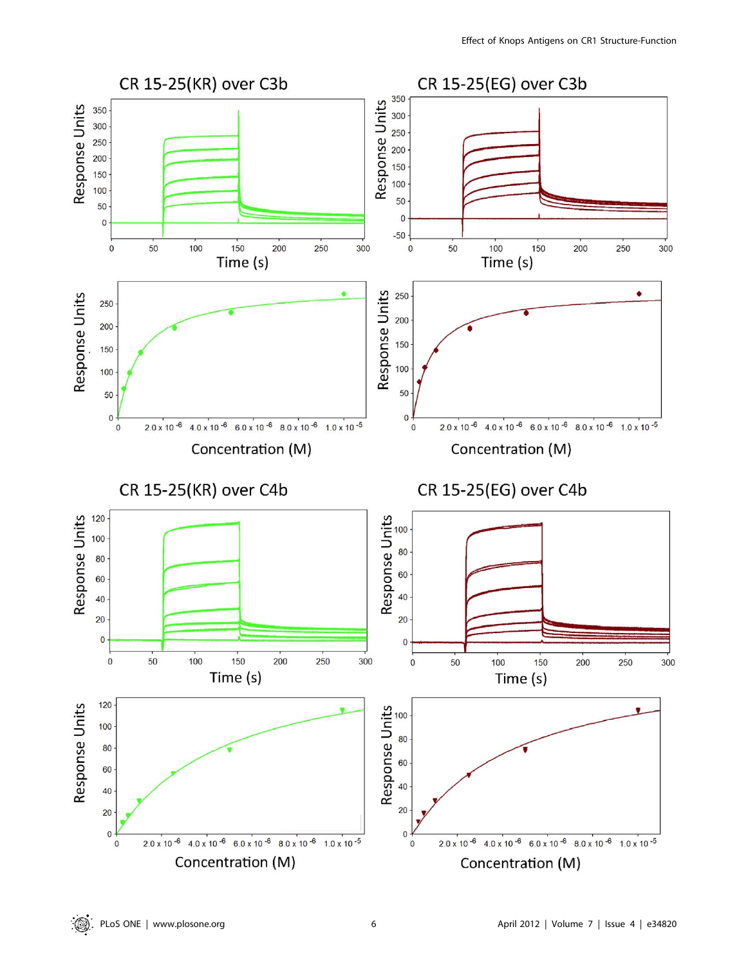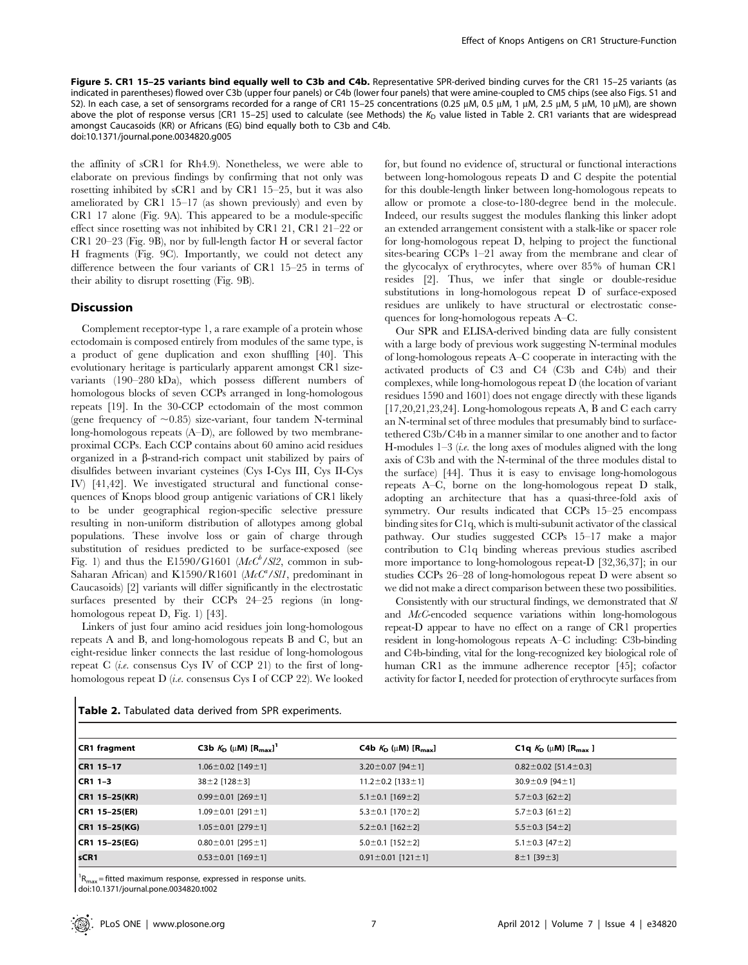Figure 5. CR1 15-25 variants bind equally well to C3b and C4b. Representative SPR-derived binding curves for the CR1 15-25 variants (as indicated in parentheses) flowed over C3b (upper four panels) or C4b (lower four panels) that were amine-coupled to CM5 chips (see also Figs. S1 and S2). In each case, a set of sensorgrams recorded for a range of CR1 15–25 concentrations (0.25 µM, 0.5 µM, 1 µM, 2.5 µM, 5 µM, 10 µM), are shown above the plot of response versus [CR1 15-25] used to calculate (see Methods) the  $K<sub>D</sub>$  value listed in Table 2. CR1 variants that are widespread amongst Caucasoids (KR) or Africans (EG) bind equally both to C3b and C4b. doi:10.1371/journal.pone.0034820.g005

the affinity of sCR1 for Rh4.9). Nonetheless, we were able to elaborate on previous findings by confirming that not only was rosetting inhibited by sCR1 and by CR1 15–25, but it was also ameliorated by CR1 15–17 (as shown previously) and even by CR1 17 alone (Fig. 9A). This appeared to be a module-specific effect since rosetting was not inhibited by CR1 21, CR1 21–22 or CR1 20–23 (Fig. 9B), nor by full-length factor H or several factor H fragments (Fig. 9C). Importantly, we could not detect any difference between the four variants of CR1 15–25 in terms of their ability to disrupt rosetting (Fig. 9B).

#### **Discussion**

Complement receptor-type 1, a rare example of a protein whose ectodomain is composed entirely from modules of the same type, is a product of gene duplication and exon shuffling [40]. This evolutionary heritage is particularly apparent amongst CR1 sizevariants (190–280 kDa), which possess different numbers of homologous blocks of seven CCPs arranged in long-homologous repeats [19]. In the 30-CCP ectodomain of the most common (gene frequency of  $\sim$ 0.85) size-variant, four tandem N-terminal long-homologous repeats (A–D), are followed by two membraneproximal CCPs. Each CCP contains about 60 amino acid residues organized in a  $\beta$ -strand-rich compact unit stabilized by pairs of disulfides between invariant cysteines (Cys I-Cys III, Cys II-Cys IV) [41,42]. We investigated structural and functional consequences of Knops blood group antigenic variations of CR1 likely to be under geographical region-specific selective pressure resulting in non-uniform distribution of allotypes among global populations. These involve loss or gain of charge through substitution of residues predicted to be surface-exposed (see Fig. 1) and thus the E1590/G1601 ( $McC<sup>b</sup>/Sl2$ , common in sub-Saharan African) and K1590/R1601 ( $McC<sup>a</sup>/SU$ , predominant in Caucasoids) [2] variants will differ significantly in the electrostatic surfaces presented by their CCPs 24–25 regions (in longhomologous repeat D, Fig. 1) [43].

Linkers of just four amino acid residues join long-homologous repeats A and B, and long-homologous repeats B and C, but an eight-residue linker connects the last residue of long-homologous repeat C (*i.e.* consensus Cys IV of CCP 21) to the first of longhomologous repeat D (i.e. consensus Cys I of CCP 22). We looked for, but found no evidence of, structural or functional interactions between long-homologous repeats D and C despite the potential for this double-length linker between long-homologous repeats to allow or promote a close-to-180-degree bend in the molecule. Indeed, our results suggest the modules flanking this linker adopt an extended arrangement consistent with a stalk-like or spacer role for long-homologous repeat D, helping to project the functional sites-bearing CCPs 1–21 away from the membrane and clear of the glycocalyx of erythrocytes, where over 85% of human CR1 resides [2]. Thus, we infer that single or double-residue substitutions in long-homologous repeat D of surface-exposed residues are unlikely to have structural or electrostatic consequences for long-homologous repeats A–C.

Our SPR and ELISA-derived binding data are fully consistent with a large body of previous work suggesting N-terminal modules of long-homologous repeats A–C cooperate in interacting with the activated products of C3 and C4 (C3b and C4b) and their complexes, while long-homologous repeat D (the location of variant residues 1590 and 1601) does not engage directly with these ligands [17,20,21,23,24]. Long-homologous repeats A, B and C each carry an N-terminal set of three modules that presumably bind to surfacetethered C3b/C4b in a manner similar to one another and to factor H-modules  $1-3$  (*i.e.* the long axes of modules aligned with the long axis of C3b and with the N-terminal of the three modules distal to the surface) [44]. Thus it is easy to envisage long-homologous repeats A–C, borne on the long-homologous repeat D stalk, adopting an architecture that has a quasi-three-fold axis of symmetry. Our results indicated that CCPs 15–25 encompass binding sites for C1q, which is multi-subunit activator of the classical pathway. Our studies suggested CCPs 15–17 make a major contribution to C1q binding whereas previous studies ascribed more importance to long-homologous repeat-D [32,36,37]; in our studies CCPs 26–28 of long-homologous repeat D were absent so we did not make a direct comparison between these two possibilities.

Consistently with our structural findings, we demonstrated that Sl and McC-encoded sequence variations within long-homologous repeat-D appear to have no effect on a range of CR1 properties resident in long-homologous repeats A–C including: C3b-binding and C4b-binding, vital for the long-recognized key biological role of human CR1 as the immune adherence receptor [45]; cofactor activity for factor I, needed for protection of erythrocyte surfaces from

| <b>CR1 fragment</b> | C3b $K_{D}$ ( $\mu$ M) $[R_{max}]^T$ | C4b $K_D$ ( $\mu$ M) [R <sub>max</sub> ] | <b>C1q</b> $K_{D}$ ( $\mu$ <b>M</b> ) [ $R_{max}$ ] |
|---------------------|--------------------------------------|------------------------------------------|-----------------------------------------------------|
| CR1 15-17           | $1.06 \pm 0.02$ [149 $\pm$ 1]        | 3.20 $\pm$ 0.07 [94 $\pm$ 1]             | $0.82 \pm 0.02$ [51.4 $\pm$ 0.3]                    |
| CR1 1-3             | $38 \pm 2$ [128 $\pm$ 3]             | $11.2 \pm 0.2$ [133 $\pm$ 1]             | 30.9 $\pm$ 0.9 [94 $\pm$ 1]                         |
| CR1 15-25(KR)       | $0.99 \pm 0.01$ [269 $\pm$ 1]        | 5.1 $\pm$ 0.1 [169 $\pm$ 2]              | $5.7 \pm 0.3$ [62 $\pm$ 2]                          |
| CR1 15–25(ER)       | $1.09 \pm 0.01$ [291 $\pm$ 1]        | $5.3 \pm 0.1$ [170 $\pm$ 2]              | 5.7 $\pm$ 0.3 [61 $\pm$ 2]                          |
| CR1 15-25(KG)       | $1.05 \pm 0.01$ [279 $\pm$ 1]        | 5.2 $\pm$ 0.1 [162 $\pm$ 2]              | $5.5 \pm 0.3$ [54 $\pm$ 2]                          |
| CR1 15–25(EG)       | $0.80 \pm 0.01$ [295 $\pm$ 1]        | $5.0 \pm 0.1$ [152 $\pm$ 2]              | $5.1 \pm 0.3$ [47 $\pm$ 2]                          |
| sCR1                | $0.53 \pm 0.01$ [169 $\pm$ 1]        | $0.91 \pm 0.01$ [121 $\pm$ 1]            | $8 \pm 1$ [39 $\pm$ 3]                              |

Table 2. Tabulated data derived from SPR experiments.

1  $R_{\text{max}}$  = fitted maximum response, expressed in response units.

doi:10.1371/journal.pone.0034820.t002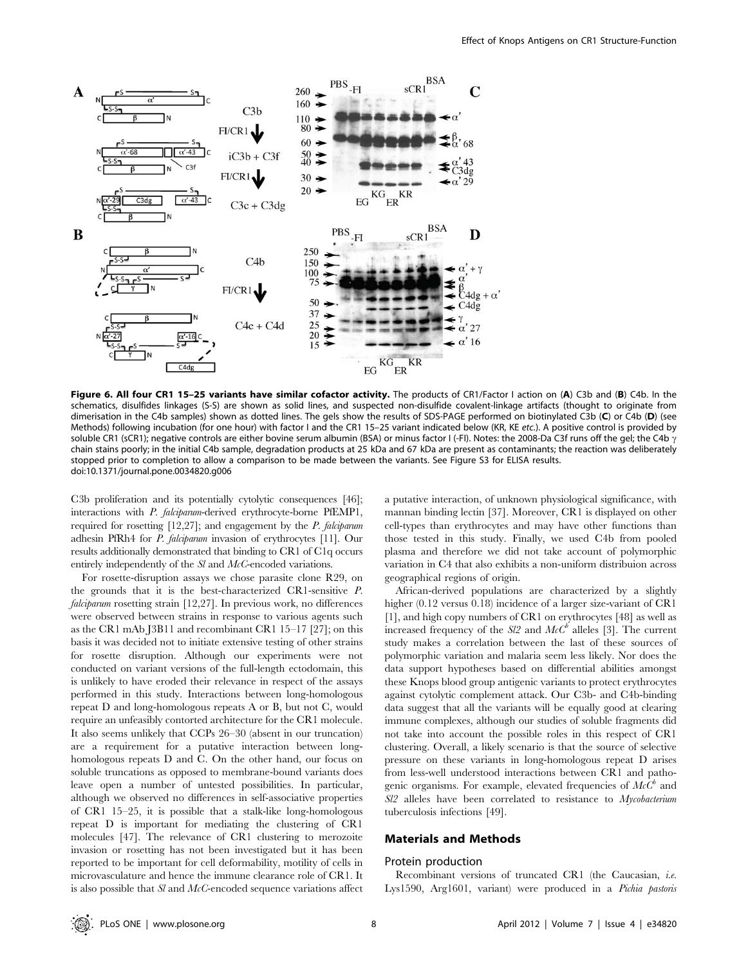

Figure 6. All four CR1 15-25 variants have similar cofactor activity. The products of CR1/Factor I action on (A) C3b and (B) C4b. In the schematics, disulfides linkages (S-S) are shown as solid lines, and suspected non-disulfide covalent-linkage artifacts (thought to originate from dimerisation in the C4b samples) shown as dotted lines. The gels show the results of SDS-PAGE performed on biotinylated C3b (C) or C4b (D) (see Methods) following incubation (for one hour) with factor I and the CR1 15–25 variant indicated below (KR, KE etc.). A positive control is provided by soluble CR1 (sCR1); negative controls are either bovine serum albumin (BSA) or minus factor I (-FI). Notes: the 2008-Da C3f runs off the gel; the C4b  $\gamma$ chain stains poorly; in the initial C4b sample, degradation products at 25 kDa and 67 kDa are present as contaminants; the reaction was deliberately stopped prior to completion to allow a comparison to be made between the variants. See Figure S3 for ELISA results. doi:10.1371/journal.pone.0034820.g006

C3b proliferation and its potentially cytolytic consequences [46]; interactions with P. falciparum-derived erythrocyte-borne PfEMP1, required for rosetting [12,27]; and engagement by the P. falciparum adhesin PfRh4 for P. falciparum invasion of erythrocytes [11]. Our results additionally demonstrated that binding to CR1 of C1q occurs entirely independently of the Sl and McC-encoded variations.

For rosette-disruption assays we chose parasite clone R29, on the grounds that it is the best-characterized CR1-sensitive P. falciparum rosetting strain [12,27]. In previous work, no differences were observed between strains in response to various agents such as the CR1 mAb J3B11 and recombinant CR1 15–17 [27]; on this basis it was decided not to initiate extensive testing of other strains for rosette disruption. Although our experiments were not conducted on variant versions of the full-length ectodomain, this is unlikely to have eroded their relevance in respect of the assays performed in this study. Interactions between long-homologous repeat D and long-homologous repeats A or B, but not C, would require an unfeasibly contorted architecture for the CR1 molecule. It also seems unlikely that CCPs 26–30 (absent in our truncation) are a requirement for a putative interaction between longhomologous repeats D and C. On the other hand, our focus on soluble truncations as opposed to membrane-bound variants does leave open a number of untested possibilities. In particular, although we observed no differences in self-associative properties of CR1 15–25, it is possible that a stalk-like long-homologous repeat D is important for mediating the clustering of CR1 molecules [47]. The relevance of CR1 clustering to merozoite invasion or rosetting has not been investigated but it has been reported to be important for cell deformability, motility of cells in microvasculature and hence the immune clearance role of CR1. It is also possible that  $S$ l and  $McC$ -encoded sequence variations affect

a putative interaction, of unknown physiological significance, with mannan binding lectin [37]. Moreover, CR1 is displayed on other cell-types than erythrocytes and may have other functions than those tested in this study. Finally, we used C4b from pooled plasma and therefore we did not take account of polymorphic variation in C4 that also exhibits a non-uniform distribuion across geographical regions of origin.

African-derived populations are characterized by a slightly higher (0.12 versus 0.18) incidence of a larger size-variant of CR1 [1], and high copy numbers of CR1 on erythrocytes [48] as well as increased frequency of the  $S22$  and  $McC^b$  alleles [3]. The current study makes a correlation between the last of these sources of polymorphic variation and malaria seem less likely. Nor does the data support hypotheses based on differential abilities amongst these Knops blood group antigenic variants to protect erythrocytes against cytolytic complement attack. Our C3b- and C4b-binding data suggest that all the variants will be equally good at clearing immune complexes, although our studies of soluble fragments did not take into account the possible roles in this respect of CR1 clustering. Overall, a likely scenario is that the source of selective pressure on these variants in long-homologous repeat D arises from less-well understood interactions between CR1 and pathogenic organisms. For example, elevated frequencies of  $McC^b$  and Sl2 alleles have been correlated to resistance to Mycobacterium tuberculosis infections [49].

## Materials and Methods

#### Protein production

Recombinant versions of truncated CR1 (the Caucasian, i.e. Lys1590, Arg1601, variant) were produced in a Pichia pastoris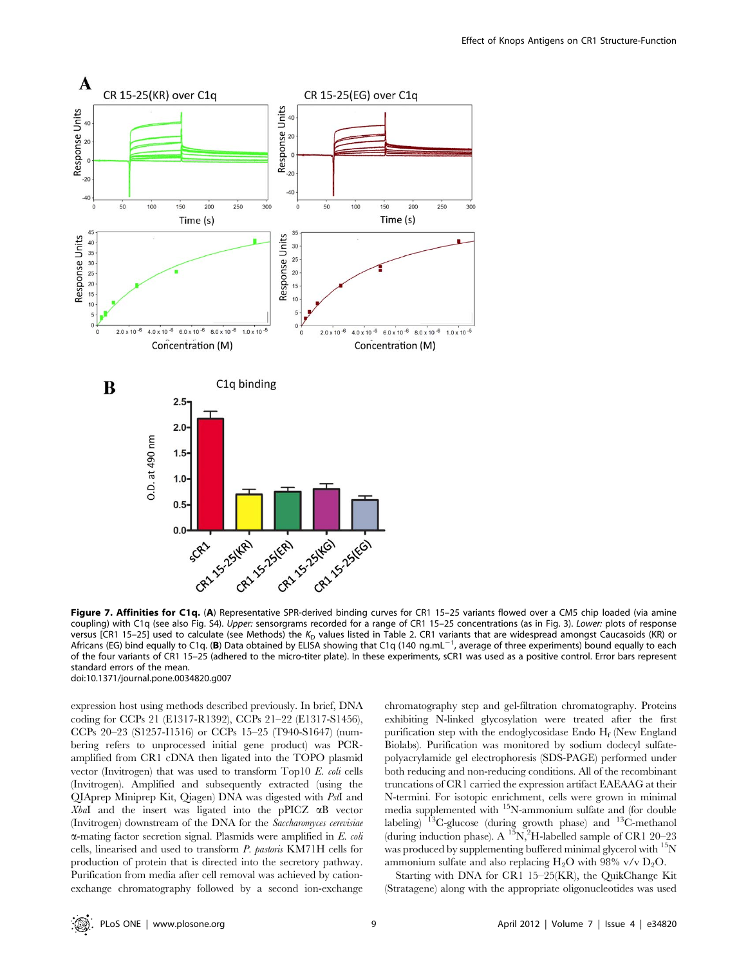

Figure 7. Affinities for C1q. (A) Representative SPR-derived binding curves for CR1 15-25 variants flowed over a CM5 chip loaded (via amine coupling) with C1q (see also Fig. S4). Upper: sensorgrams recorded for a range of CR1 15-25 concentrations (as in Fig. 3). Lower: plots of response versus [CR1 15-25] used to calculate (see Methods) the  $K_D$  values listed in Table 2. CR1 variants that are widespread amongst Caucasoids (KR) or Africans (EG) bind equally to C1q. (B) Data obtained by ELISA showing that C1q (140 ng.mL<sup>-1</sup>, average of three experiments) bound equally to each of the four variants of CR1 15–25 (adhered to the micro-titer plate). In these experiments, sCR1 was used as a positive control. Error bars represent standard errors of the mean.

doi:10.1371/journal.pone.0034820.g007

expression host using methods described previously. In brief, DNA coding for CCPs 21 (E1317-R1392), CCPs 21–22 (E1317-S1456), CCPs 20–23 (S1257-I1516) or CCPs 15–25 (T940-S1647) (numbering refers to unprocessed initial gene product) was PCRamplified from CR1 cDNA then ligated into the TOPO plasmid vector (Invitrogen) that was used to transform Top10 E. coli cells (Invitrogen). Amplified and subsequently extracted (using the QIAprep Miniprep Kit, Qiagen) DNA was digested with PstI and XbaI and the insert was ligated into the pPICZ  $\alpha$ B vector (Invitrogen) downstream of the DNA for the Saccharomyces cerevisiae  $\alpha$ -mating factor secretion signal. Plasmids were amplified in E. coli cells, linearised and used to transform P. pastoris KM71H cells for production of protein that is directed into the secretory pathway. Purification from media after cell removal was achieved by cationexchange chromatography followed by a second ion-exchange chromatography step and gel-filtration chromatography. Proteins exhibiting N-linked glycosylation were treated after the first purification step with the endoglycosidase Endo  $H_f$  (New England Biolabs). Purification was monitored by sodium dodecyl sulfatepolyacrylamide gel electrophoresis (SDS-PAGE) performed under both reducing and non-reducing conditions. All of the recombinant truncations of CR1 carried the expression artifact EAEAAG at their N-termini. For isotopic enrichment, cells were grown in minimal media supplemented with 15N-ammonium sulfate and (for double labeling)  $13C$ -glucose (during growth phase) and  $13C$ -methanol (during induction phase). A  $^{15}N$ , <sup>2</sup>H-labelled sample of CR1 20-23 was produced by supplementing buffered minimal glycerol with <sup>15</sup>N ammonium sulfate and also replacing  $H_2O$  with 98% v/v  $D_2O$ .

Starting with DNA for CR1 15–25(KR), the QuikChange Kit (Stratagene) along with the appropriate oligonucleotides was used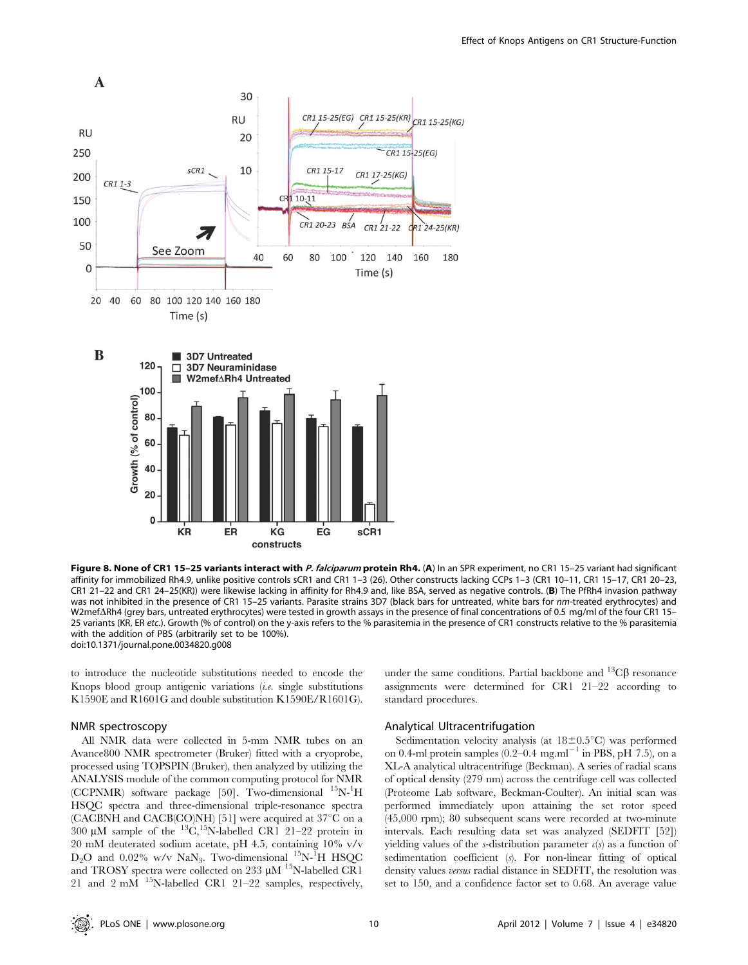

Figure 8. None of CR1 15-25 variants interact with P. falciparum protein Rh4. (A) In an SPR experiment, no CR1 15-25 variant had significant affinity for immobilized Rh4.9, unlike positive controls sCR1 and CR1 1–3 (26). Other constructs lacking CCPs 1–3 (CR1 10–11, CR1 15–17, CR1 20–23, CR1 21–22 and CR1 24–25(KR)) were likewise lacking in affinity for Rh4.9 and, like BSA, served as negative controls. (B) The PfRh4 invasion pathway was not inhibited in the presence of CR1 15-25 variants. Parasite strains 3D7 (black bars for untreated, white bars for nm-treated erythrocytes) and W2mef $\Delta$ Rh4 (grey bars, untreated erythrocytes) were tested in growth assays in the presence of final concentrations of 0.5 mg/ml of the four CR1 15-25 variants (KR, ER etc.). Growth (% of control) on the y-axis refers to the % parasitemia in the presence of CR1 constructs relative to the % parasitemia with the addition of PBS (arbitrarily set to be 100%). doi:10.1371/journal.pone.0034820.g008

to introduce the nucleotide substitutions needed to encode the Knops blood group antigenic variations (i.e. single substitutions K1590E and R1601G and double substitution K1590E/R1601G).

## NMR spectroscopy

All NMR data were collected in 5-mm NMR tubes on an Avance800 NMR spectrometer (Bruker) fitted with a cryoprobe, processed using TOPSPIN (Bruker), then analyzed by utilizing the ANALYSIS module of the common computing protocol for NMR (CCPNMR) software package [50]. Two-dimensional <sup>15</sup>N-<sup>1</sup>H HSQC spectra and three-dimensional triple-resonance spectra (CACBNH and CACB(CO)NH) [51] were acquired at  $37^{\circ}$ C on a 300  $\mu$ M sample of the <sup>13</sup>C,<sup>15</sup>N-labelled CR1 21-22 protein in 20 mM deuterated sodium acetate, pH 4.5, containing 10% v/v  $D_2O$  and 0.02% w/v NaN<sub>3</sub>. Two-dimensional <sup>15</sup>N-<sup>1</sup>H HSQC and TROSY spectra were collected on 233  $\mu$ M <sup>15</sup>N-labelled CR1 21 and 2 mM 15N-labelled CR1 21–22 samples, respectively,

under the same conditions. Partial backbone and  ${}^{13}C\beta$  resonance assignments were determined for CR1 21–22 according to standard procedures.

# Analytical Ultracentrifugation

Sedimentation velocity analysis (at  $18\pm0.5^{\circ}$ C) was performed on 0.4-ml protein samples  $(0.2-0.4 \text{ mg.m}^{-1} \text{ in PBS, pH } 7.5)$ , on a XL-A analytical ultracentrifuge (Beckman). A series of radial scans of optical density (279 nm) across the centrifuge cell was collected (Proteome Lab software, Beckman-Coulter). An initial scan was performed immediately upon attaining the set rotor speed (45,000 rpm); 80 subsequent scans were recorded at two-minute intervals. Each resulting data set was analyzed (SEDFIT [52]) yielding values of the s-distribution parameter  $c(s)$  as a function of sedimentation coefficient (s). For non-linear fitting of optical density values versus radial distance in SEDFIT, the resolution was set to 150, and a confidence factor set to 0.68. An average value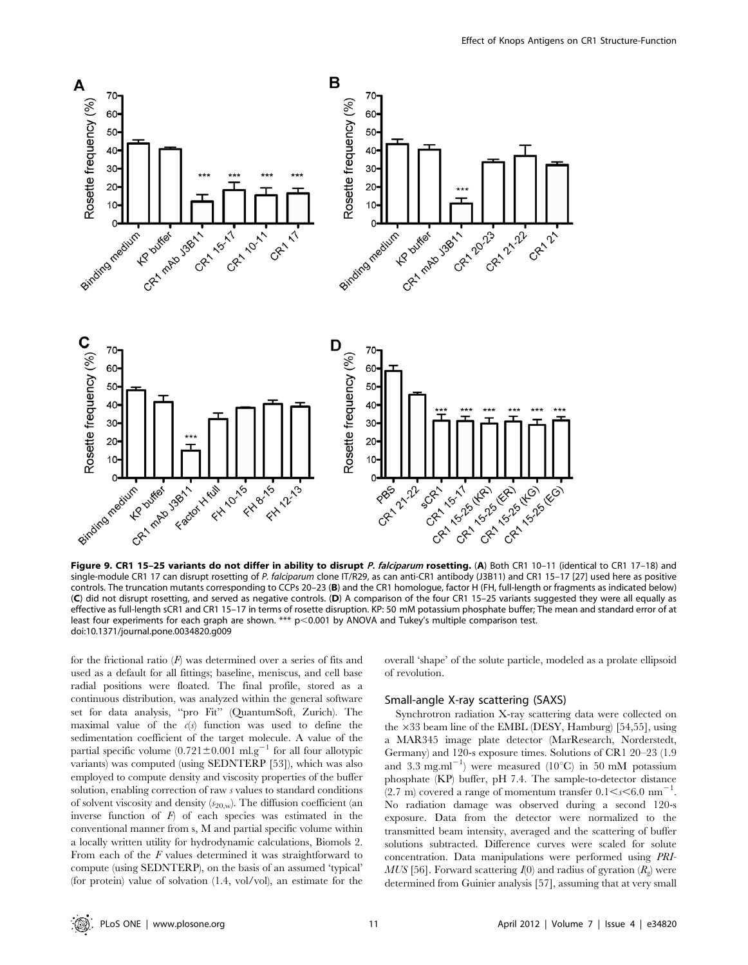

Figure 9. CR1 15-25 variants do not differ in ability to disrupt P. falciparum rosetting. (A) Both CR1 10-11 (identical to CR1 17-18) and single-module CR1 17 can disrupt rosetting of P. falciparum clone IT/R29, as can anti-CR1 antibody (J3B11) and CR1 15-17 [27] used here as positive controls. The truncation mutants corresponding to CCPs 20–23 (B) and the CR1 homologue, factor H (FH, full-length or fragments as indicated below) (C) did not disrupt rosetting, and served as negative controls. (D) A comparison of the four CR1 15–25 variants suggested they were all equally as effective as full-length sCR1 and CR1 15–17 in terms of rosette disruption. KP: 50 mM potassium phosphate buffer; The mean and standard error of at least four experiments for each graph are shown. \*\*\*  $p$ <0.001 by ANOVA and Tukey's multiple comparison test. doi:10.1371/journal.pone.0034820.g009

for the frictional ratio  $(F)$  was determined over a series of fits and used as a default for all fittings; baseline, meniscus, and cell base radial positions were floated. The final profile, stored as a continuous distribution, was analyzed within the general software set for data analysis, ''pro Fit'' (QuantumSoft, Zurich). The maximal value of the  $c(s)$  function was used to define the sedimentation coefficient of the target molecule. A value of the partial specific volume  $(0.721 \pm 0.001 \text{ ml} \text{ g}^{-1}$  for all four allotypic variants) was computed (using SEDNTERP [53]), which was also employed to compute density and viscosity properties of the buffer solution, enabling correction of raw s values to standard conditions of solvent viscosity and density  $(s_{20,w})$ . The diffusion coefficient (an inverse function of  $F$ ) of each species was estimated in the conventional manner from s, M and partial specific volume within a locally written utility for hydrodynamic calculations, Biomols 2. From each of the F values determined it was straightforward to compute (using SEDNTERP), on the basis of an assumed 'typical' (for protein) value of solvation (1.4, vol/vol), an estimate for the overall 'shape' of the solute particle, modeled as a prolate ellipsoid of revolution.

#### Small-angle X-ray scattering (SAXS)

Synchrotron radiation X-ray scattering data were collected on the  $\times 33$  beam line of the EMBL (DESY, Hamburg) [54,55], using a MAR345 image plate detector (MarResearch, Norderstedt, Germany) and 120-s exposure times. Solutions of CR1 20–23 (1.9 and  $3.3 \text{ mg.m}^{-1}$ ) were measured (10°C) in 50 mM potassium phosphate (KP) buffer, pH 7.4. The sample-to-detector distance (2.7 m) covered a range of momentum transfer  $0.1 \le s \le 6.0$  nm<sup>-1</sup> . No radiation damage was observed during a second 120-s exposure. Data from the detector were normalized to the transmitted beam intensity, averaged and the scattering of buffer solutions subtracted. Difference curves were scaled for solute concentration. Data manipulations were performed using PRI-MUS [56]. Forward scattering  $I(0)$  and radius of gyration  $(R_{\rho})$  were determined from Guinier analysis [57], assuming that at very small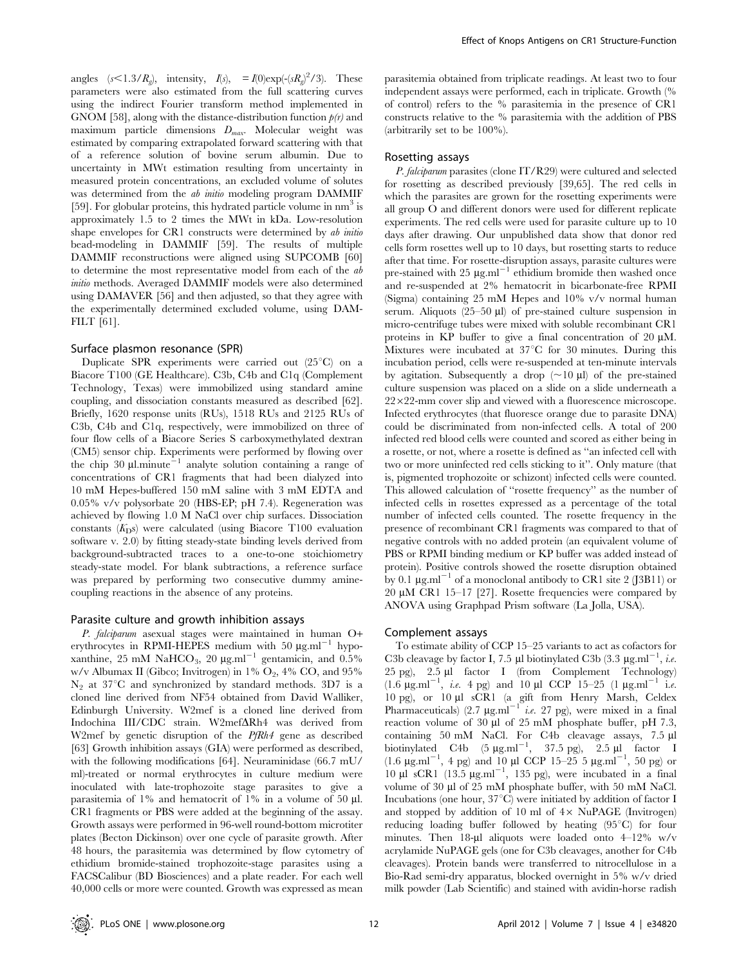angles  $(s<1.3/R_g)$ , intensity,  $I(s)$ ,  $= I(0) \exp(-(sR_g)^2/3)$ . These parameters were also estimated from the full scattering curves using the indirect Fourier transform method implemented in GNOM [58], along with the distance-distribution function  $p(r)$  and maximum particle dimensions  $D_{max}$ . Molecular weight was estimated by comparing extrapolated forward scattering with that of a reference solution of bovine serum albumin. Due to uncertainty in MWt estimation resulting from uncertainty in measured protein concentrations, an excluded volume of solutes was determined from the *ab initio* modeling program DAMMIF [59]. For globular proteins, this hydrated particle volume in  $nm<sup>3</sup>$  is approximately 1.5 to 2 times the MWt in kDa. Low-resolution shape envelopes for CR1 constructs were determined by ab initio bead-modeling in DAMMIF [59]. The results of multiple DAMMIF reconstructions were aligned using SUPCOMB [60] to determine the most representative model from each of the ab initio methods. Averaged DAMMIF models were also determined using DAMAVER [56] and then adjusted, so that they agree with the experimentally determined excluded volume, using DAM-FILT [61].

## Surface plasmon resonance (SPR)

Duplicate SPR experiments were carried out  $(25^{\circ}C)$  on a Biacore T100 (GE Healthcare). C3b, C4b and C1q (Complement Technology, Texas) were immobilized using standard amine coupling, and dissociation constants measured as described [62]. Briefly, 1620 response units (RUs), 1518 RUs and 2125 RUs of C3b, C4b and C1q, respectively, were immobilized on three of four flow cells of a Biacore Series S carboxymethylated dextran (CM5) sensor chip. Experiments were performed by flowing over the chip 30  $\mu$ l.minute<sup>-1</sup> analyte solution containing a range of concentrations of CR1 fragments that had been dialyzed into 10 mM Hepes-buffered 150 mM saline with 3 mM EDTA and 0.05% v/v polysorbate 20 (HBS-EP; pH 7.4). Regeneration was achieved by flowing 1.0 M NaCl over chip surfaces. Dissociation constants  $(K<sub>D</sub>s)$  were calculated (using Biacore T100 evaluation software v. 2.0) by fitting steady-state binding levels derived from background-subtracted traces to a one-to-one stoichiometry steady-state model. For blank subtractions, a reference surface was prepared by performing two consecutive dummy aminecoupling reactions in the absence of any proteins.

#### Parasite culture and growth inhibition assays

P. falciparum asexual stages were maintained in human O+ erythrocytes in RPMI-HEPES medium with 50  $\mu$ g.ml<sup>-1</sup> hypoxanthine, 25 mM NaHCO<sub>3</sub>, 20  $\mu$ g.ml<sup>-1</sup> gentamicin, and 0.5% w/v Albumax II (Gibco; Invitrogen) in 1%  $O_2$ , 4% CO, and 95%  $N_2$  at 37<sup>o</sup>C and synchronized by standard methods. 3D7 is a cloned line derived from NF54 obtained from David Walliker, Edinburgh University. W2mef is a cloned line derived from Indochina III/CDC strain. W2mef $\Delta$ Rh4 was derived from W2mef by genetic disruption of the *PfRh4* gene as described [63] Growth inhibition assays (GIA) were performed as described, with the following modifications [64]. Neuraminidase (66.7 mU/ ml)-treated or normal erythrocytes in culture medium were inoculated with late-trophozoite stage parasites to give a parasitemia of  $1\%$  and hematocrit of  $1\%$  in a volume of  $50 \mu$ . CR1 fragments or PBS were added at the beginning of the assay. Growth assays were performed in 96-well round-bottom microtiter plates (Becton Dickinson) over one cycle of parasite growth. After 48 hours, the parasitemia was determined by flow cytometry of ethidium bromide-stained trophozoite-stage parasites using a FACSCalibur (BD Biosciences) and a plate reader. For each well 40,000 cells or more were counted. Growth was expressed as mean

parasitemia obtained from triplicate readings. At least two to four independent assays were performed, each in triplicate. Growth (% of control) refers to the % parasitemia in the presence of CR1 constructs relative to the % parasitemia with the addition of PBS (arbitrarily set to be 100%).

## Rosetting assays

P. falciparum parasites (clone IT/R29) were cultured and selected for rosetting as described previously [39,65]. The red cells in which the parasites are grown for the rosetting experiments were all group O and different donors were used for different replicate experiments. The red cells were used for parasite culture up to 10 days after drawing. Our unpublished data show that donor red cells form rosettes well up to 10 days, but rosetting starts to reduce after that time. For rosette-disruption assays, parasite cultures were pre-stained with 25  $\mu$ g.ml<sup>-1</sup> ethidium bromide then washed once and re-suspended at 2% hematocrit in bicarbonate-free RPMI (Sigma) containing 25 mM Hepes and 10% v/v normal human serum. Aliquots  $(25-50 \mu l)$  of pre-stained culture suspension in micro-centrifuge tubes were mixed with soluble recombinant CR1 proteins in KP buffer to give a final concentration of 20  $\mu$ M. Mixtures were incubated at  $37^{\circ}$ C for 30 minutes. During this incubation period, cells were re-suspended at ten-minute intervals by agitation. Subsequently a drop  $(\sim 10 \mu l)$  of the pre-stained culture suspension was placed on a slide on a slide underneath a  $22\times22$ -mm cover slip and viewed with a fluorescence microscope. Infected erythrocytes (that fluoresce orange due to parasite DNA) could be discriminated from non-infected cells. A total of 200 infected red blood cells were counted and scored as either being in a rosette, or not, where a rosette is defined as ''an infected cell with two or more uninfected red cells sticking to it''. Only mature (that is, pigmented trophozoite or schizont) infected cells were counted. This allowed calculation of ''rosette frequency'' as the number of infected cells in rosettes expressed as a percentage of the total number of infected cells counted. The rosette frequency in the presence of recombinant CR1 fragments was compared to that of negative controls with no added protein (an equivalent volume of PBS or RPMI binding medium or KP buffer was added instead of protein). Positive controls showed the rosette disruption obtained by 0.1  $\mu$ g.ml<sup>-1</sup> of a monoclonal antibody to CR1 site 2 (J3B11) or 20  $\mu$ M CR1 15–17 [27]. Rosette frequencies were compared by ANOVA using Graphpad Prism software (La Jolla, USA).

#### Complement assays

To estimate ability of CCP 15–25 variants to act as cofactors for C3b cleavage by factor I, 7.5 µl biotinylated C3b (3.3  $\mu$ g.ml<sup>-1</sup>, *i.e.* 25 pg), 2.5 µl factor I (from Complement Technology)  $(1.6 \text{ µg.m}^{-1})$ , i.e. 4 pg) and 10  $\mu$ l CCP 15–25 (1  $\mu$ g.ml<sup>-1</sup> i.e. 10 pg), or 10 ml sCR1 (a gift from Henry Marsh, Celdex Pharmaceuticals)  $(2.7 \mu g.m)^{-1}$  *i.e.* 27 pg), were mixed in a final reaction volume of 30 µl of 25 mM phosphate buffer, pH 7.3, containing 50 mM NaCl. For C4b cleavage assays, 7.5 µl biotinylated C4b  $(5 \text{ µg.ml}^{-1}, 37.5 \text{ pg})$ , 2.5  $\mu$ l factor I  $(1.6 \text{ µg.ml}^{-1}, 4 \text{ pg})$  and 10  $\mu$ l CCP 15-25 5  $\mu$ g.ml<sup>-1</sup>, 50 pg) or 10  $\mu$ l sCR1 (13.5  $\mu$ g.ml<sup>-1</sup>, 135 pg), were incubated in a final volume of 30  $\mu$ l of 25 mM phosphate buffer, with 50 mM NaCl. Incubations (one hour,  $37^{\circ}$ C) were initiated by addition of factor I and stopped by addition of 10 ml of  $4 \times$  NuPAGE (Invitrogen) reducing loading buffer followed by heating  $(95^{\circ}C)$  for four minutes. Then 18-µl aliquots were loaded onto  $4-12\%$  w/v acrylamide NuPAGE gels (one for C3b cleavages, another for C4b cleavages). Protein bands were transferred to nitrocellulose in a Bio-Rad semi-dry apparatus, blocked overnight in 5% w/v dried milk powder (Lab Scientific) and stained with avidin-horse radish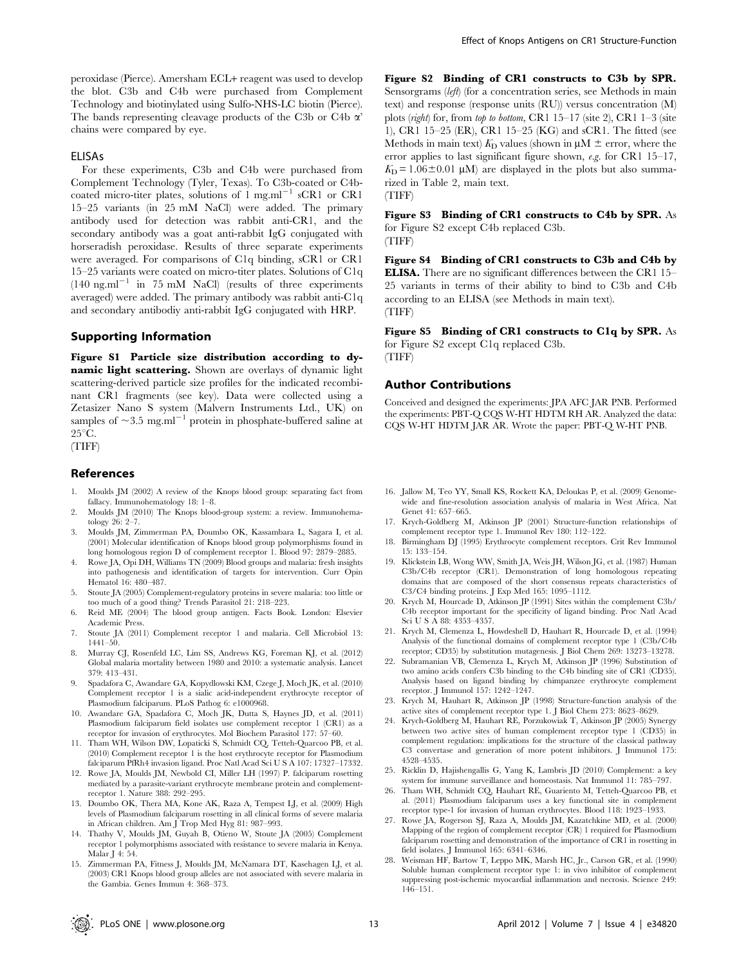peroxidase (Pierce). Amersham ECL+ reagent was used to develop the blot. C3b and C4b were purchased from Complement Technology and biotinylated using Sulfo-NHS-LC biotin (Pierce). The bands representing cleavage products of the C3b or C4b  $\alpha$ ' chains were compared by eye.

#### ELISAs

For these experiments, C3b and C4b were purchased from Complement Technology (Tyler, Texas). To C3b-coated or C4bcoated micro-titer plates, solutions of  $1 \text{ mg.m}^{-1} \text{ sCR1}$  or CR1 15–25 variants (in 25 mM NaCl) were added. The primary antibody used for detection was rabbit anti-CR1, and the secondary antibody was a goat anti-rabbit IgG conjugated with horseradish peroxidase. Results of three separate experiments were averaged. For comparisons of C1q binding, sCR1 or CR1 15–25 variants were coated on micro-titer plates. Solutions of C1q  $(140 \text{ ng.m}^{-1} \text{ in } 75 \text{ mM }$  NaCl) (results of three experiments averaged) were added. The primary antibody was rabbit anti-C1q and secondary antibodiy anti-rabbit IgG conjugated with HRP.

## Supporting Information

Figure S1 Particle size distribution according to dynamic light scattering. Shown are overlays of dynamic light scattering-derived particle size profiles for the indicated recombinant CR1 fragments (see key). Data were collected using a Zetasizer Nano S system (Malvern Instruments Ltd., UK) on samples of  $\sim$ 3.5 mg.ml<sup>-1</sup> protein in phosphate-buffered saline at  $25^{\circ}$ C.

(TIFF)

## References

- 1. Moulds JM (2002) A review of the Knops blood group: separating fact from fallacy. Immunohematology 18: 1–8.
- 2. Moulds JM (2010) The Knops blood-group system: a review. Immunohematology 26: 2–7.
- 3. Moulds JM, Zimmerman PA, Doumbo OK, Kassambara L, Sagara I, et al. (2001) Molecular identification of Knops blood group polymorphisms found in long homologous region D of complement receptor 1. Blood 97: 2879–2885.
- Rowe JA, Opi DH, Williams TN (2009) Blood groups and malaria: fresh insights into pathogenesis and identification of targets for intervention. Curr Opin Hematol 16: 480–487.
- 5. Stoute JA (2005) Complement-regulatory proteins in severe malaria: too little or too much of a good thing? Trends Parasitol 21: 218–223.
- 6. Reid ME (2004) The blood group antigen. Facts Book. London: Elsevier Academic Press.
- 7. Stoute JA (2011) Complement receptor 1 and malaria. Cell Microbiol 13: 1441–50.
- 8. Murray CJ, Rosenfeld LC, Lim SS, Andrews KG, Foreman KJ, et al. (2012) Global malaria mortality between 1980 and 2010: a systematic analysis. Lancet 379: 413–431.
- 9. Spadafora C, Awandare GA, Kopydlowski KM, Czege J, Moch JK, et al. (2010) Complement receptor 1 is a sialic acid-independent erythrocyte receptor of Plasmodium falciparum. PLoS Pathog 6: e1000968.
- 10. Awandare GA, Spadafora C, Moch JK, Dutta S, Haynes JD, et al. (2011) Plasmodium falciparum field isolates use complement receptor 1 (CR1) as a receptor for invasion of erythrocytes. Mol Biochem Parasitol 177: 57–60.
- 11. Tham WH, Wilson DW, Lopaticki S, Schmidt CQ, Tetteh-Quarcoo PB, et al. (2010) Complement receptor 1 is the host erythrocyte receptor for Plasmodium falciparum PfRh4 invasion ligand. Proc Natl Acad Sci U S A 107: 17327–17332.
- 12. Rowe JA, Moulds JM, Newbold CI, Miller LH (1997) P. falciparum rosetting mediated by a parasite-variant erythrocyte membrane protein and complementreceptor 1. Nature 388: 292–295.
- 13. Doumbo OK, Thera MA, Kone AK, Raza A, Tempest LJ, et al. (2009) High levels of Plasmodium falciparum rosetting in all clinical forms of severe malaria in African children. Am J Trop Med Hyg 81: 987–993.
- 14. Thathy V, Moulds JM, Guyah B, Otieno W, Stoute JA (2005) Complement receptor 1 polymorphisms associated with resistance to severe malaria in Kenya. Malar J 4: 54.
- 15. Zimmerman PA, Fitness J, Moulds JM, McNamara DT, Kasehagen LJ, et al. (2003) CR1 Knops blood group alleles are not associated with severe malaria in the Gambia. Genes Immun 4: 368–373.

Figure S2 Binding of CR1 constructs to C3b by SPR. Sensorgrams (left) (for a concentration series, see Methods in main text) and response (response units (RU)) versus concentration (M) plots (right) for, from top to bottom, CR1 15–17 (site 2), CR1 1–3 (site 1), CR1 15–25 (ER), CR1 15–25 (KG) and sCR1. The fitted (see Methods in main text)  $K<sub>D</sub>$  values (shown in  $\mu$ M  $\pm$  error, where the error applies to last significant figure shown, e.g. for CR1 15–17,  $K_D = 1.06 \pm 0.01 \mu M$  are displayed in the plots but also summarized in Table 2, main text. (TIFF)

Figure S3 Binding of CR1 constructs to C4b by SPR. As for Figure S2 except C4b replaced C3b. (TIFF)

Figure S4 Binding of CR1 constructs to C3b and C4b by ELISA. There are no significant differences between the CR1 15– 25 variants in terms of their ability to bind to C3b and C4b according to an ELISA (see Methods in main text). (TIFF)

Figure S5 Binding of CR1 constructs to C1q by SPR. As for Figure S2 except C1q replaced C3b. (TIFF)

## Author Contributions

Conceived and designed the experiments: JPA AFC JAR PNB. Performed the experiments: PBT-Q CQS W-HT HDTM RH AR. Analyzed the data: CQS W-HT HDTM JAR AR. Wrote the paper: PBT-Q W-HT PNB.

- 16. Jallow M, Teo YY, Small KS, Rockett KA, Deloukas P, et al. (2009) Genomewide and fine-resolution association analysis of malaria in West Africa. Nat Genet 41: 657–665.
- 17. Krych-Goldberg M, Atkinson JP (2001) Structure-function relationships of complement receptor type 1. Immunol Rev 180: 112–122.
- 18. Birmingham DJ (1995) Erythrocyte complement receptors. Crit Rev Immunol 15: 133–154.
- 19. Klickstein LB, Wong WW, Smith JA, Weis JH, Wilson JG, et al. (1987) Human C3b/C4b receptor (CR1). Demonstration of long homologous repeating domains that are composed of the short consensus repeats characteristics of C3/C4 binding proteins. J Exp Med 165: 1095–1112.
- 20. Krych M, Hourcade D, Atkinson JP (1991) Sites within the complement C3b/ C4b receptor important for the specificity of ligand binding. Proc Natl Acad Sci U S A 88: 4353–4357.
- 21. Krych M, Clemenza L, Howdeshell D, Hauhart R, Hourcade D, et al. (1994) Analysis of the functional domains of complement receptor type 1 (C3b/C4b receptor; CD35) by substitution mutagenesis. J Biol Chem 269: 13273–13278.
- 22. Subramanian VB, Clemenza L, Krych M, Atkinson JP (1996) Substitution of two amino acids confers C3b binding to the C4b binding site of CR1 (CD35). Analysis based on ligand binding by chimpanzee erythrocyte complement receptor. J Immunol 157: 1242–1247.
- 23. Krych M, Hauhart R, Atkinson JP (1998) Structure-function analysis of the active sites of complement receptor type 1. J Biol Chem 273: 8623–8629.
- 24. Krych-Goldberg M, Hauhart RE, Porzukowiak T, Atkinson JP (2005) Synergy between two active sites of human complement receptor type 1 (CD35) in complement regulation: implications for the structure of the classical pathway C3 convertase and generation of more potent inhibitors. J Immunol 175: 4528–4535.
- 25. Ricklin D, Hajishengallis G, Yang K, Lambris JD (2010) Complement: a key system for immune surveillance and homeostasis. Nat Immunol 11: 785–797.
- 26. Tham WH, Schmidt CQ, Hauhart RE, Guariento M, Tetteh-Quarcoo PB, et al. (2011) Plasmodium falciparum uses a key functional site in complement receptor type-1 for invasion of human erythrocytes. Blood 118: 1923–1933.
- 27. Rowe JA, Rogerson SJ, Raza A, Moulds JM, Kazatchkine MD, et al. (2000) Mapping of the region of complement receptor (CR) 1 required for Plasmodium falciparum rosetting and demonstration of the importance of CR1 in rosetting in field isolates. J Immunol 165: 6341–6346.
- 28. Weisman HF, Bartow T, Leppo MK, Marsh HC, Jr., Carson GR, et al. (1990) Soluble human complement receptor type 1: in vivo inhibitor of complement suppressing post-ischemic myocardial inflammation and necrosis. Science 249: 146–151.